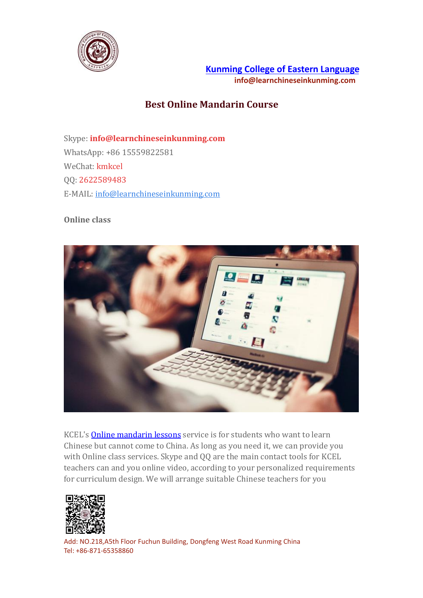

**Kunming College of Eastern [Language](https://www.learnchineseinkunming.com/) info@learnchineseinkunming.com**

## **Best Online Mandarin Course**

Skype: **info@learnchineseinkunming.com** WhatsApp: +86 15559822581 WeChat: kmkcel QQ: 2622589483 E-MAIL: [info@learnchineseinkunming.com](mailto:info@learnchineseinkunming.com)

## **Online class**



KCEL's Online [mandarin](https://www.learnchineseinkunming.com/chinese-language-course-online.html) lessons service is for students who want to learn Chinese but cannot come to China. As long as you need it, we can provide you with Online class services. Skype and QQ are the main contact tools for KCEL teachers can and you online video, according to your personalized requirements for curriculum design. We will arrange suitable Chinese teachers for you



Add: NO.218,A5th Floor Fuchun Building, Dongfeng West Road Kunming China Tel: +86-871-65358860